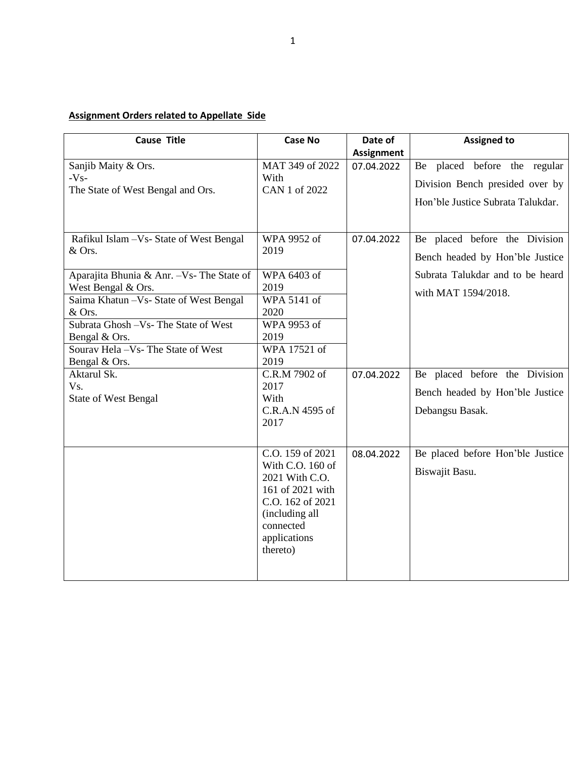## **Assignment Orders related to Appellate Side**

| <b>Cause Title</b>                                                                        | <b>Case No</b>                                                                                                                                            | Date of           | <b>Assigned to</b>                                                                                   |
|-------------------------------------------------------------------------------------------|-----------------------------------------------------------------------------------------------------------------------------------------------------------|-------------------|------------------------------------------------------------------------------------------------------|
|                                                                                           |                                                                                                                                                           | <b>Assignment</b> |                                                                                                      |
| Sanjib Maity & Ors.<br>$-Vs-$<br>The State of West Bengal and Ors.                        | MAT 349 of 2022<br>With<br>CAN 1 of 2022                                                                                                                  | 07.04.2022        | Be placed before the regular<br>Division Bench presided over by<br>Hon'ble Justice Subrata Talukdar. |
| Rafikul Islam - Vs- State of West Bengal<br>& Ors.                                        | WPA 9952 of<br>2019                                                                                                                                       | 07.04.2022        | Be placed before the Division<br>Bench headed by Hon'ble Justice                                     |
| Aparajita Bhunia & Anr. - Vs- The State of<br>West Bengal & Ors.                          | WPA 6403 of<br>2019                                                                                                                                       |                   | Subrata Talukdar and to be heard<br>with MAT 1594/2018.                                              |
| Saima Khatun - Vs- State of West Bengal<br>& Ors.<br>Subrata Ghosh -Vs- The State of West | WPA 5141 of<br>2020<br>WPA 9953 of                                                                                                                        |                   |                                                                                                      |
| Bengal & Ors.<br>Sourav Hela - Vs- The State of West                                      | 2019<br>WPA 17521 of                                                                                                                                      |                   |                                                                                                      |
| Bengal & Ors.                                                                             | 2019                                                                                                                                                      |                   |                                                                                                      |
| Aktarul Sk.<br>$V_{S}$ .                                                                  | C.R.M 7902 of<br>2017                                                                                                                                     | 07.04.2022        | Be placed before the Division                                                                        |
| <b>State of West Bengal</b>                                                               | With<br>C.R.A.N 4595 of                                                                                                                                   |                   | Bench headed by Hon'ble Justice<br>Debangsu Basak.                                                   |
|                                                                                           | 2017                                                                                                                                                      |                   |                                                                                                      |
|                                                                                           | C.O. 159 of 2021<br>With C.O. 160 of<br>2021 With C.O.<br>161 of 2021 with<br>C.O. 162 of 2021<br>(including all<br>connected<br>applications<br>thereto) | 08.04.2022        | Be placed before Hon'ble Justice<br>Biswajit Basu.                                                   |